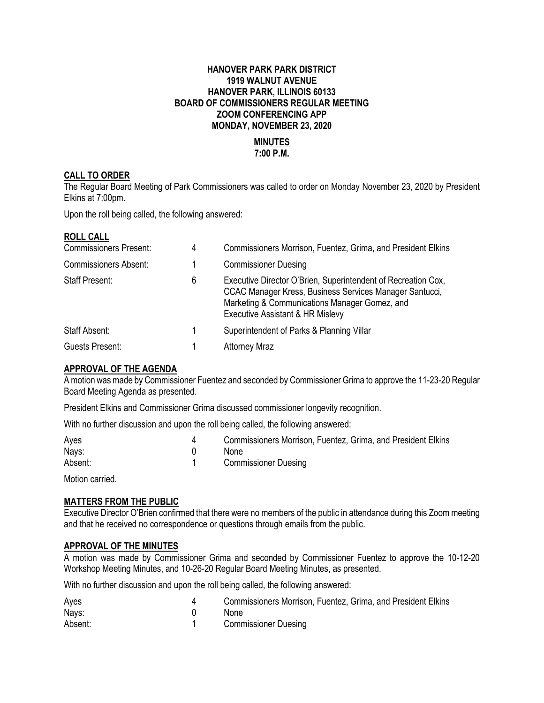# **HANOVER PARK PARK DISTRICT 1919 WALNUT AVENUE HANOVER PARK, ILLINOIS 60133 BOARD OF COMMISSIONERS REGULAR MEETING ZOOM CONFERENCING APP MONDAY, NOVEMBER 23, 2020**

# **MINUTES 7:00 P.M.**

# **CALL TO ORDER**

The Regular Board Meeting of Park Commissioners was called to order on Monday November 23, 2020 by President Elkins at 7:00pm.

Upon the roll being called, the following answered:

#### **ROLL CALL**

| <b>Commissioners Present:</b> | 4 | Commissioners Morrison, Fuentez, Grima, and President Elkins                                                                                                                                                  |
|-------------------------------|---|---------------------------------------------------------------------------------------------------------------------------------------------------------------------------------------------------------------|
| <b>Commissioners Absent:</b>  |   | <b>Commissioner Duesing</b>                                                                                                                                                                                   |
| <b>Staff Present:</b>         | 6 | Executive Director O'Brien, Superintendent of Recreation Cox,<br>CCAC Manager Kress, Business Services Manager Santucci,<br>Marketing & Communications Manager Gomez, and<br>Executive Assistant & HR Mislevy |
| Staff Absent:                 |   | Superintendent of Parks & Planning Villar                                                                                                                                                                     |
| Guests Present:               |   | <b>Attorney Mraz</b>                                                                                                                                                                                          |

# **APPROVAL OF THE AGENDA**

A motion was made by Commissioner Fuentez and seconded by Commissioner Grima to approve the 11-23-20 Regular Board Meeting Agenda as presented.

President Elkins and Commissioner Grima discussed commissioner longevity recognition.

With no further discussion and upon the roll being called, the following answered:

| Ayes    | Commissioners Morrison, Fuentez, Grima, and President Elkins |
|---------|--------------------------------------------------------------|
| Nays:   | None                                                         |
| Absent: | <b>Commissioner Duesing</b>                                  |

Motion carried.

# **MATTERS FROM THE PUBLIC**

Executive Director O'Brien confirmed that there were no members of the public in attendance during this Zoom meeting and that he received no correspondence or questions through emails from the public.

#### **APPROVAL OF THE MINUTES**

A motion was made by Commissioner Grima and seconded by Commissioner Fuentez to approve the 10-12-20 Workshop Meeting Minutes, and 10-26-20 Regular Board Meeting Minutes, as presented.

With no further discussion and upon the roll being called, the following answered:

| Ayes    | Commissioners Morrison, Fuentez, Grima, and President Elkins |
|---------|--------------------------------------------------------------|
| Nays:   | <b>None</b>                                                  |
| Absent: | <b>Commissioner Duesing</b>                                  |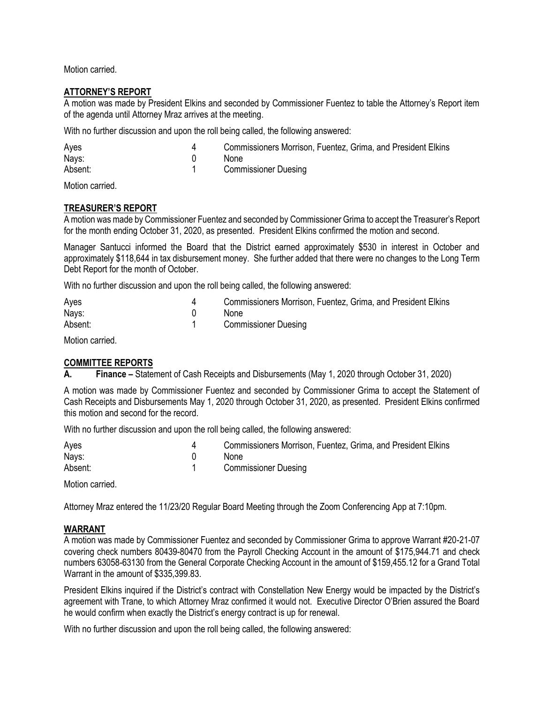Motion carried.

# **ATTORNEY'S REPORT**

A motion was made by President Elkins and seconded by Commissioner Fuentez to table the Attorney's Report item of the agenda until Attorney Mraz arrives at the meeting.

With no further discussion and upon the roll being called, the following answered:

| Ayes    | Commissioners Morrison, Fuentez, Grima, and President Elkins |
|---------|--------------------------------------------------------------|
| Nays:   | None                                                         |
| Absent: | <b>Commissioner Duesing</b>                                  |

Motion carried.

# **TREASURER'S REPORT**

A motion was made by Commissioner Fuentez and seconded by Commissioner Grima to accept the Treasurer's Report for the month ending October 31, 2020, as presented. President Elkins confirmed the motion and second.

Manager Santucci informed the Board that the District earned approximately \$530 in interest in October and approximately \$118,644 in tax disbursement money. She further added that there were no changes to the Long Term Debt Report for the month of October.

With no further discussion and upon the roll being called, the following answered:

| Ayes    | Commissioners Morrison, Fuentez, Grima, and President Elkins |
|---------|--------------------------------------------------------------|
| Nays:   | <b>None</b>                                                  |
| Absent: | <b>Commissioner Duesing</b>                                  |

Motion carried.

#### **COMMITTEE REPORTS**

**A. Finance –** Statement of Cash Receipts and Disbursements (May 1, 2020 through October 31, 2020)

A motion was made by Commissioner Fuentez and seconded by Commissioner Grima to accept the Statement of Cash Receipts and Disbursements May 1, 2020 through October 31, 2020, as presented. President Elkins confirmed this motion and second for the record.

With no further discussion and upon the roll being called, the following answered:

| Ayes    | Commissioners Morrison, Fuentez, Grima, and President Elkins |
|---------|--------------------------------------------------------------|
| Nays:   | <b>None</b>                                                  |
| Absent: | <b>Commissioner Duesing</b>                                  |

Motion carried.

Attorney Mraz entered the 11/23/20 Regular Board Meeting through the Zoom Conferencing App at 7:10pm.

#### **WARRANT**

A motion was made by Commissioner Fuentez and seconded by Commissioner Grima to approve Warrant #20-21-07 covering check numbers 80439-80470 from the Payroll Checking Account in the amount of \$175,944.71 and check numbers 63058-63130 from the General Corporate Checking Account in the amount of \$159,455.12 for a Grand Total Warrant in the amount of \$335,399.83.

President Elkins inquired if the District's contract with Constellation New Energy would be impacted by the District's agreement with Trane, to which Attorney Mraz confirmed it would not. Executive Director O'Brien assured the Board he would confirm when exactly the District's energy contract is up for renewal.

With no further discussion and upon the roll being called, the following answered: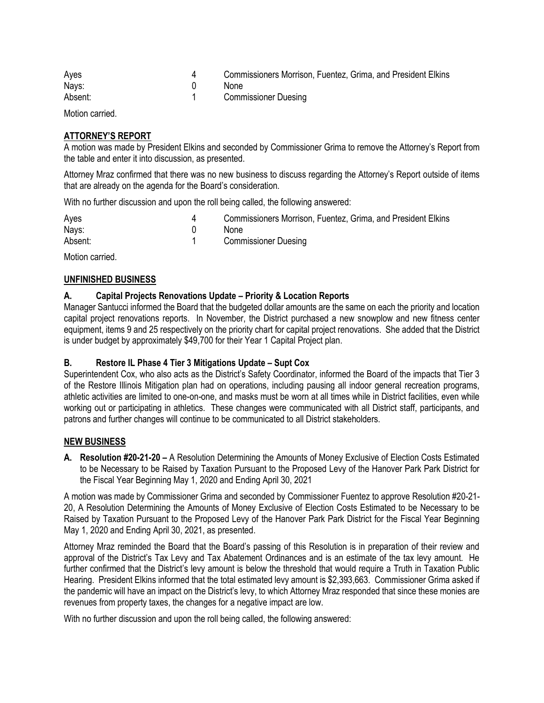| Ayes    | Commissioners Morrison, Fuentez, Grima, and President Elkins |
|---------|--------------------------------------------------------------|
| Nays:   | <b>None</b>                                                  |
| Absent: | <b>Commissioner Duesing</b>                                  |

Motion carried.

# **ATTORNEY'S REPORT**

A motion was made by President Elkins and seconded by Commissioner Grima to remove the Attorney's Report from the table and enter it into discussion, as presented.

Attorney Mraz confirmed that there was no new business to discuss regarding the Attorney's Report outside of items that are already on the agenda for the Board's consideration.

With no further discussion and upon the roll being called, the following answered:

| Ayes    | Commissioners Morrison, Fuentez, Grima, and President Elkins |
|---------|--------------------------------------------------------------|
| Nays:   | None                                                         |
| Absent: | <b>Commissioner Duesing</b>                                  |

Motion carried.

# **UNFINISHED BUSINESS**

# **A. Capital Projects Renovations Update – Priority & Location Reports**

Manager Santucci informed the Board that the budgeted dollar amounts are the same on each the priority and location capital project renovations reports. In November, the District purchased a new snowplow and new fitness center equipment, items 9 and 25 respectively on the priority chart for capital project renovations. She added that the District is under budget by approximately \$49,700 for their Year 1 Capital Project plan.

#### **B. Restore IL Phase 4 Tier 3 Mitigations Update – Supt Cox**

Superintendent Cox, who also acts as the District's Safety Coordinator, informed the Board of the impacts that Tier 3 of the Restore Illinois Mitigation plan had on operations, including pausing all indoor general recreation programs, athletic activities are limited to one-on-one, and masks must be worn at all times while in District facilities, even while working out or participating in athletics. These changes were communicated with all District staff, participants, and patrons and further changes will continue to be communicated to all District stakeholders.

#### **NEW BUSINESS**

**A. Resolution #20-21-20 –** A Resolution Determining the Amounts of Money Exclusive of Election Costs Estimated to be Necessary to be Raised by Taxation Pursuant to the Proposed Levy of the Hanover Park Park District for the Fiscal Year Beginning May 1, 2020 and Ending April 30, 2021

A motion was made by Commissioner Grima and seconded by Commissioner Fuentez to approve Resolution #20-21- 20, A Resolution Determining the Amounts of Money Exclusive of Election Costs Estimated to be Necessary to be Raised by Taxation Pursuant to the Proposed Levy of the Hanover Park Park District for the Fiscal Year Beginning May 1, 2020 and Ending April 30, 2021, as presented.

Attorney Mraz reminded the Board that the Board's passing of this Resolution is in preparation of their review and approval of the District's Tax Levy and Tax Abatement Ordinances and is an estimate of the tax levy amount. He further confirmed that the District's levy amount is below the threshold that would require a Truth in Taxation Public Hearing. President Elkins informed that the total estimated levy amount is \$2,393,663. Commissioner Grima asked if the pandemic will have an impact on the District's levy, to which Attorney Mraz responded that since these monies are revenues from property taxes, the changes for a negative impact are low.

With no further discussion and upon the roll being called, the following answered: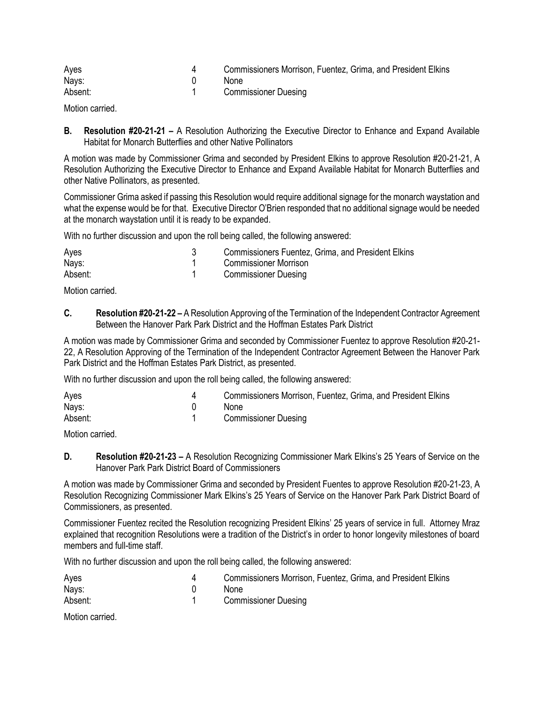| Ayes    | Commissioners Morrison, Fuentez, Grima, and President Elkins |
|---------|--------------------------------------------------------------|
| Nays:   | <b>None</b>                                                  |
| Absent: | <b>Commissioner Duesing</b>                                  |

Motion carried.

**B. Resolution #20-21-21 –** A Resolution Authorizing the Executive Director to Enhance and Expand Available Habitat for Monarch Butterflies and other Native Pollinators

A motion was made by Commissioner Grima and seconded by President Elkins to approve Resolution #20-21-21, A Resolution Authorizing the Executive Director to Enhance and Expand Available Habitat for Monarch Butterflies and other Native Pollinators, as presented.

Commissioner Grima asked if passing this Resolution would require additional signage for the monarch waystation and what the expense would be for that. Executive Director O'Brien responded that no additional signage would be needed at the monarch waystation until it is ready to be expanded.

With no further discussion and upon the roll being called, the following answered:

| Ayes    | <b>Commissioners Fuentez, Grima, and President Elkins</b> |
|---------|-----------------------------------------------------------|
| Nays:   | Commissioner Morrison                                     |
| Absent: | <b>Commissioner Duesing</b>                               |

Motion carried.

**C. Resolution #20-21-22 –** A Resolution Approving of the Termination of the Independent Contractor Agreement Between the Hanover Park Park District and the Hoffman Estates Park District

A motion was made by Commissioner Grima and seconded by Commissioner Fuentez to approve Resolution #20-21- 22, A Resolution Approving of the Termination of the Independent Contractor Agreement Between the Hanover Park Park District and the Hoffman Estates Park District, as presented.

With no further discussion and upon the roll being called, the following answered:

| Ayes    | Commissioners Morrison, Fuentez, Grima, and President Elkins |
|---------|--------------------------------------------------------------|
| Nays:   | <b>None</b>                                                  |
| Absent: | <b>Commissioner Duesing</b>                                  |

Motion carried.

**D. Resolution #20-21-23 –** A Resolution Recognizing Commissioner Mark Elkins's 25 Years of Service on the Hanover Park Park District Board of Commissioners

A motion was made by Commissioner Grima and seconded by President Fuentes to approve Resolution #20-21-23, A Resolution Recognizing Commissioner Mark Elkins's 25 Years of Service on the Hanover Park Park District Board of Commissioners, as presented.

Commissioner Fuentez recited the Resolution recognizing President Elkins' 25 years of service in full. Attorney Mraz explained that recognition Resolutions were a tradition of the District's in order to honor longevity milestones of board members and full-time staff

With no further discussion and upon the roll being called, the following answered:

| Ayes    | Commissioners Morrison, Fuentez, Grima, and President Elkins |
|---------|--------------------------------------------------------------|
| Nays:   | <b>None</b>                                                  |
| Absent: | <b>Commissioner Duesing</b>                                  |

Motion carried.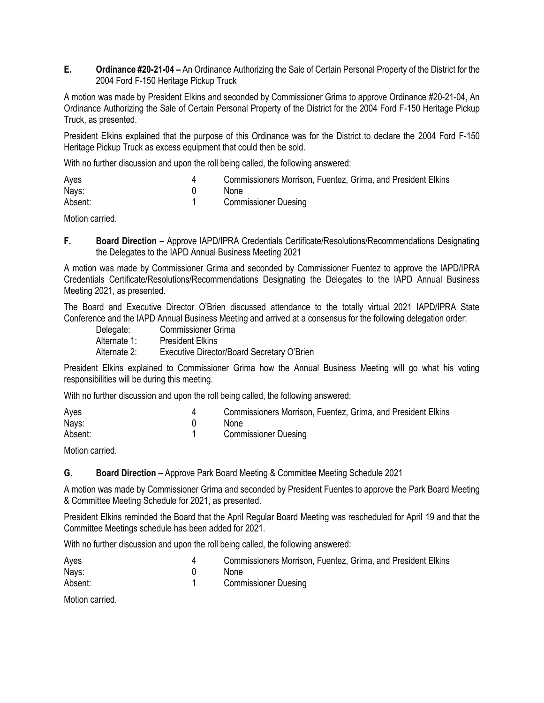**E. Ordinance #20-21-04 –** An Ordinance Authorizing the Sale of Certain Personal Property of the District for the 2004 Ford F-150 Heritage Pickup Truck

A motion was made by President Elkins and seconded by Commissioner Grima to approve Ordinance #20-21-04, An Ordinance Authorizing the Sale of Certain Personal Property of the District for the 2004 Ford F-150 Heritage Pickup Truck, as presented.

President Elkins explained that the purpose of this Ordinance was for the District to declare the 2004 Ford F-150 Heritage Pickup Truck as excess equipment that could then be sold.

With no further discussion and upon the roll being called, the following answered:

| Ayes    | Commissioners Morrison, Fuentez, Grima, and President Elkins |
|---------|--------------------------------------------------------------|
| Nays:   | <b>None</b>                                                  |
| Absent: | <b>Commissioner Duesing</b>                                  |

Motion carried.

**F. Board Direction –** Approve IAPD/IPRA Credentials Certificate/Resolutions/Recommendations Designating the Delegates to the IAPD Annual Business Meeting 2021

A motion was made by Commissioner Grima and seconded by Commissioner Fuentez to approve the IAPD/IPRA Credentials Certificate/Resolutions/Recommendations Designating the Delegates to the IAPD Annual Business Meeting 2021, as presented.

The Board and Executive Director O'Brien discussed attendance to the totally virtual 2021 IAPD/IPRA State Conference and the IAPD Annual Business Meeting and arrived at a consensus for the following delegation order:

| Delegate:    | <b>Commissioner Grima</b>                  |
|--------------|--------------------------------------------|
| Alternate 1: | <b>President Elkins</b>                    |
| Alternate 2: | Executive Director/Board Secretary O'Brien |

President Elkins explained to Commissioner Grima how the Annual Business Meeting will go what his voting responsibilities will be during this meeting.

With no further discussion and upon the roll being called, the following answered:

| Ayes    | Commissioners Morrison, Fuentez, Grima, and President Elkins |
|---------|--------------------------------------------------------------|
| Nays:   | <b>None</b>                                                  |
| Absent: | <b>Commissioner Duesing</b>                                  |

Motion carried.

**G. Board Direction –** Approve Park Board Meeting & Committee Meeting Schedule 2021

A motion was made by Commissioner Grima and seconded by President Fuentes to approve the Park Board Meeting & Committee Meeting Schedule for 2021, as presented.

President Elkins reminded the Board that the April Regular Board Meeting was rescheduled for April 19 and that the Committee Meetings schedule has been added for 2021.

With no further discussion and upon the roll being called, the following answered:

| Ayes    | Commissioners Morrison, Fuentez, Grima, and President Elkins |
|---------|--------------------------------------------------------------|
| Nays:   | <b>None</b>                                                  |
| Absent: | <b>Commissioner Duesing</b>                                  |

Motion carried.